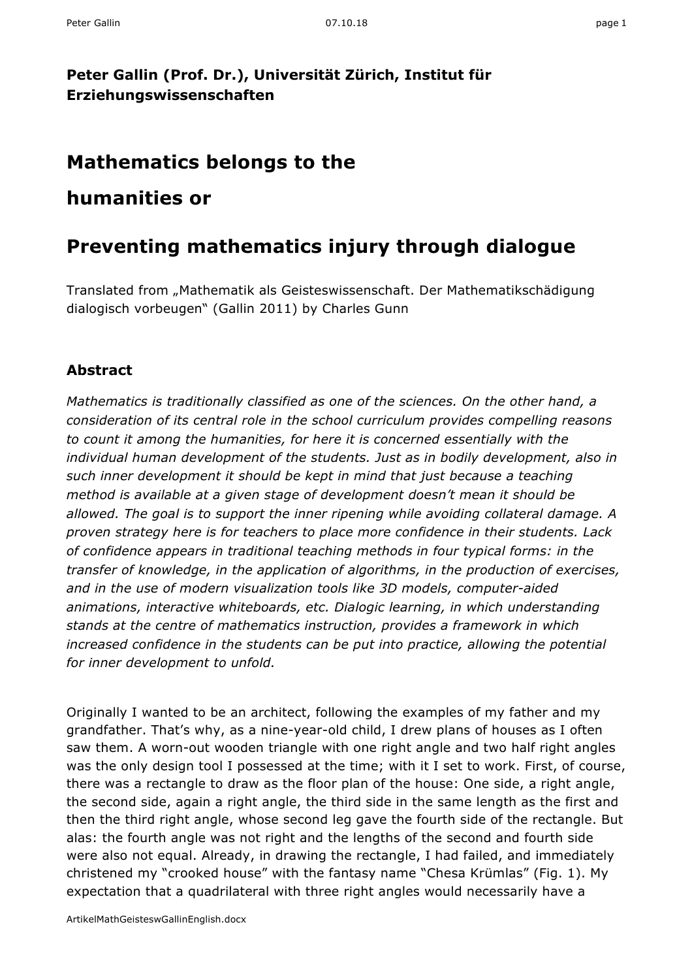### **Peter Gallin (Prof. Dr.), Universität Zürich, Institut für Erziehungswissenschaften**

## **Mathematics belongs to the**

## **humanities or**

# **Preventing mathematics injury through dialogue**

Translated from "Mathematik als Geisteswissenschaft. Der Mathematikschädigung dialogisch vorbeugen" (Gallin 2011) by Charles Gunn

#### **Abstract**

*Mathematics is traditionally classified as one of the sciences. On the other hand, a consideration of its central role in the school curriculum provides compelling reasons to count it among the humanities, for here it is concerned essentially with the individual human development of the students. Just as in bodily development, also in such inner development it should be kept in mind that just because a teaching method is available at a given stage of development doesn't mean it should be allowed. The goal is to support the inner ripening while avoiding collateral damage. A proven strategy here is for teachers to place more confidence in their students. Lack of confidence appears in traditional teaching methods in four typical forms: in the transfer of knowledge, in the application of algorithms, in the production of exercises, and in the use of modern visualization tools like 3D models, computer-aided animations, interactive whiteboards, etc. Dialogic learning, in which understanding stands at the centre of mathematics instruction, provides a framework in which increased confidence in the students can be put into practice, allowing the potential for inner development to unfold.*

Originally I wanted to be an architect, following the examples of my father and my grandfather. That's why, as a nine-year-old child, I drew plans of houses as I often saw them. A worn-out wooden triangle with one right angle and two half right angles was the only design tool I possessed at the time; with it I set to work. First, of course, there was a rectangle to draw as the floor plan of the house: One side, a right angle, the second side, again a right angle, the third side in the same length as the first and then the third right angle, whose second leg gave the fourth side of the rectangle. But alas: the fourth angle was not right and the lengths of the second and fourth side were also not equal. Already, in drawing the rectangle, I had failed, and immediately christened my "crooked house" with the fantasy name "Chesa Krümlas" (Fig. 1). My expectation that a quadrilateral with three right angles would necessarily have a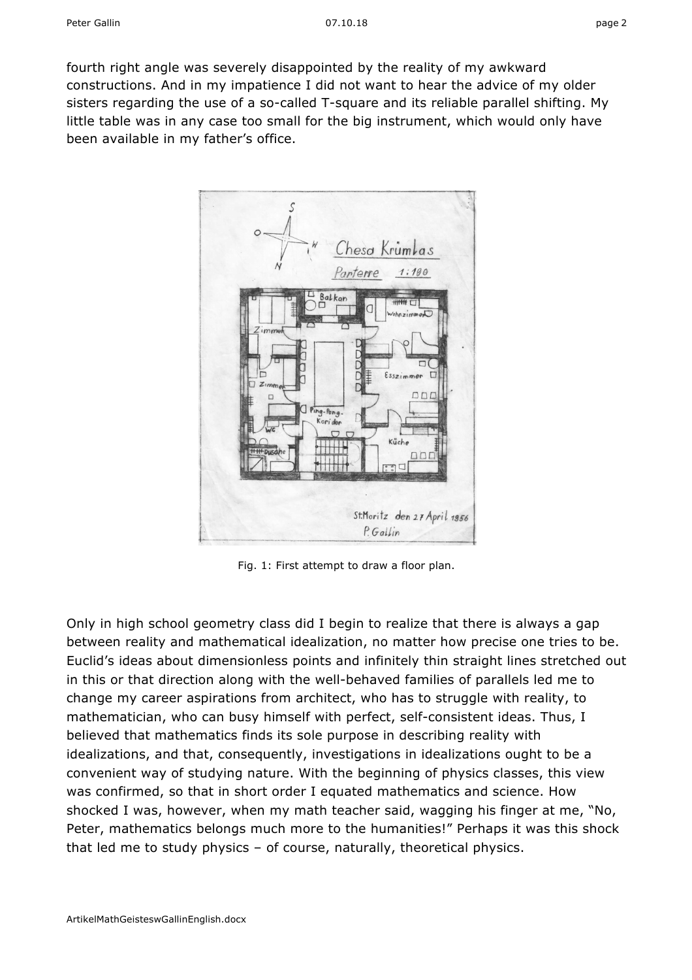fourth right angle was severely disappointed by the reality of my awkward constructions. And in my impatience I did not want to hear the advice of my older sisters regarding the use of a so-called T-square and its reliable parallel shifting. My little table was in any case too small for the big instrument, which would only have been available in my father's office.



Fig. 1: First attempt to draw a floor plan.

Only in high school geometry class did I begin to realize that there is always a gap between reality and mathematical idealization, no matter how precise one tries to be. Euclid's ideas about dimensionless points and infinitely thin straight lines stretched out in this or that direction along with the well-behaved families of parallels led me to change my career aspirations from architect, who has to struggle with reality, to mathematician, who can busy himself with perfect, self-consistent ideas. Thus, I believed that mathematics finds its sole purpose in describing reality with idealizations, and that, consequently, investigations in idealizations ought to be a convenient way of studying nature. With the beginning of physics classes, this view was confirmed, so that in short order I equated mathematics and science. How shocked I was, however, when my math teacher said, wagging his finger at me, "No, Peter, mathematics belongs much more to the humanities!" Perhaps it was this shock that led me to study physics – of course, naturally, theoretical physics.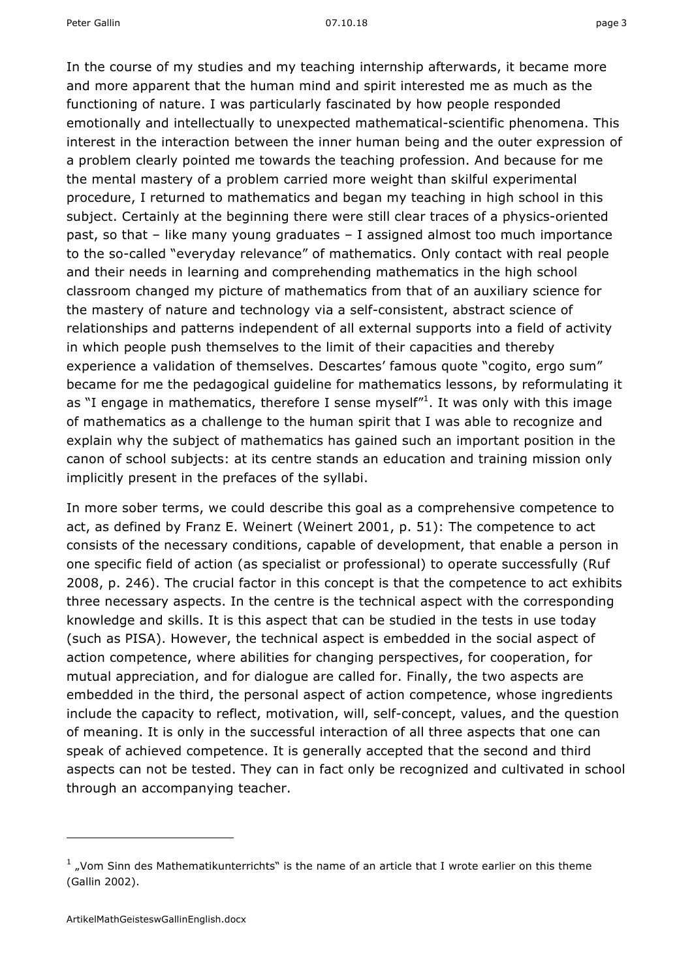Peter Gallin 07.10.18 page

In the course of my studies and my teaching internship afterwards, it became more and more apparent that the human mind and spirit interested me as much as the functioning of nature. I was particularly fascinated by how people responded emotionally and intellectually to unexpected mathematical-scientific phenomena. This interest in the interaction between the inner human being and the outer expression of a problem clearly pointed me towards the teaching profession. And because for me the mental mastery of a problem carried more weight than skilful experimental procedure, I returned to mathematics and began my teaching in high school in this subject. Certainly at the beginning there were still clear traces of a physics-oriented past, so that – like many young graduates – I assigned almost too much importance to the so-called "everyday relevance" of mathematics. Only contact with real people and their needs in learning and comprehending mathematics in the high school classroom changed my picture of mathematics from that of an auxiliary science for the mastery of nature and technology via a self-consistent, abstract science of relationships and patterns independent of all external supports into a field of activity in which people push themselves to the limit of their capacities and thereby experience a validation of themselves. Descartes' famous quote "cogito, ergo sum" became for me the pedagogical guideline for mathematics lessons, by reformulating it as "I engage in mathematics, therefore I sense myself"<sup>1</sup>. It was only with this image of mathematics as a challenge to the human spirit that I was able to recognize and explain why the subject of mathematics has gained such an important position in the canon of school subjects: at its centre stands an education and training mission only implicitly present in the prefaces of the syllabi.

In more sober terms, we could describe this goal as a comprehensive competence to act, as defined by Franz E. Weinert (Weinert 2001, p. 51): The competence to act consists of the necessary conditions, capable of development, that enable a person in one specific field of action (as specialist or professional) to operate successfully (Ruf 2008, p. 246). The crucial factor in this concept is that the competence to act exhibits three necessary aspects. In the centre is the technical aspect with the corresponding knowledge and skills. It is this aspect that can be studied in the tests in use today (such as PISA). However, the technical aspect is embedded in the social aspect of action competence, where abilities for changing perspectives, for cooperation, for mutual appreciation, and for dialogue are called for. Finally, the two aspects are embedded in the third, the personal aspect of action competence, whose ingredients include the capacity to reflect, motivation, will, self-concept, values, and the question of meaning. It is only in the successful interaction of all three aspects that one can speak of achieved competence. It is generally accepted that the second and third aspects can not be tested. They can in fact only be recognized and cultivated in school through an accompanying teacher.

 $1$ , Vom Sinn des Mathematikunterrichts" is the name of an article that I wrote earlier on this theme (Gallin 2002).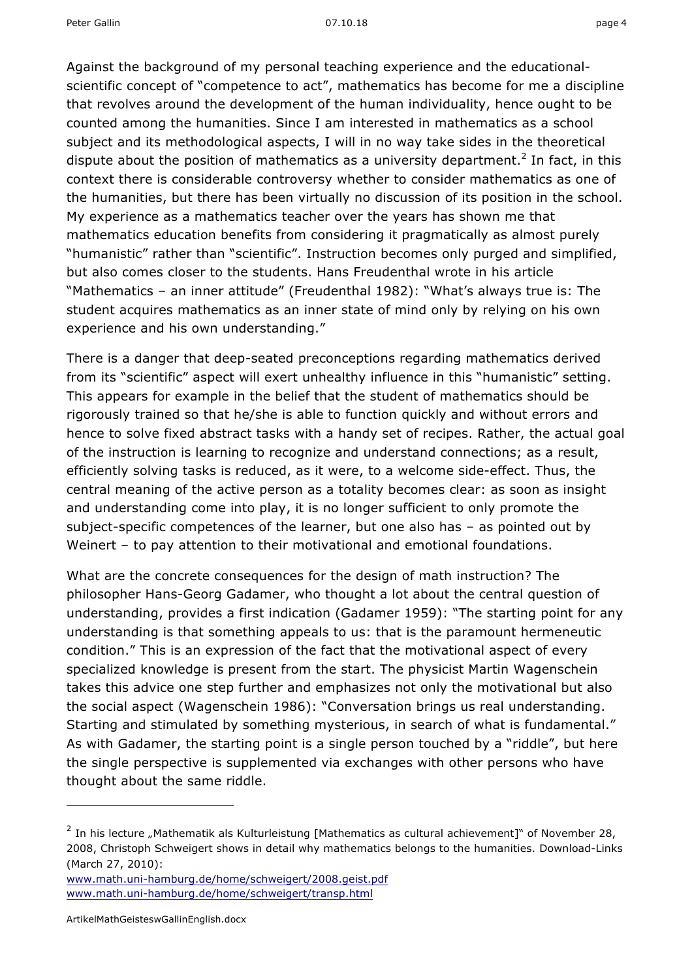Against the background of my personal teaching experience and the educationalscientific concept of "competence to act", mathematics has become for me a discipline that revolves around the development of the human individuality, hence ought to be counted among the humanities. Since I am interested in mathematics as a school subject and its methodological aspects, I will in no way take sides in the theoretical dispute about the position of mathematics as a university department.<sup>2</sup> In fact, in this context there is considerable controversy whether to consider mathematics as one of the humanities, but there has been virtually no discussion of its position in the school. My experience as a mathematics teacher over the years has shown me that mathematics education benefits from considering it pragmatically as almost purely "humanistic" rather than "scientific". Instruction becomes only purged and simplified, but also comes closer to the students. Hans Freudenthal wrote in his article "Mathematics – an inner attitude" (Freudenthal 1982): "What's always true is: The student acquires mathematics as an inner state of mind only by relying on his own experience and his own understanding."

There is a danger that deep-seated preconceptions regarding mathematics derived from its "scientific" aspect will exert unhealthy influence in this "humanistic" setting. This appears for example in the belief that the student of mathematics should be rigorously trained so that he/she is able to function quickly and without errors and hence to solve fixed abstract tasks with a handy set of recipes. Rather, the actual goal of the instruction is learning to recognize and understand connections; as a result, efficiently solving tasks is reduced, as it were, to a welcome side-effect. Thus, the central meaning of the active person as a totality becomes clear: as soon as insight and understanding come into play, it is no longer sufficient to only promote the subject-specific competences of the learner, but one also has – as pointed out by Weinert – to pay attention to their motivational and emotional foundations.

What are the concrete consequences for the design of math instruction? The philosopher Hans-Georg Gadamer, who thought a lot about the central question of understanding, provides a first indication (Gadamer 1959): "The starting point for any understanding is that something appeals to us: that is the paramount hermeneutic condition." This is an expression of the fact that the motivational aspect of every specialized knowledge is present from the start. The physicist Martin Wagenschein takes this advice one step further and emphasizes not only the motivational but also the social aspect (Wagenschein 1986): "Conversation brings us real understanding. Starting and stimulated by something mysterious, in search of what is fundamental." As with Gadamer, the starting point is a single person touched by a "riddle", but here the single perspective is supplemented via exchanges with other persons who have thought about the same riddle.

-

 $2$  In his lecture "Mathematik als Kulturleistung [Mathematics as cultural achievement]" of November 28, 2008, Christoph Schweigert shows in detail why mathematics belongs to the humanities. Download-Links (March 27, 2010):

www.math.uni-hamburg.de/home/schweigert/2008.geist.pdf www.math.uni-hamburg.de/home/schweigert/transp.html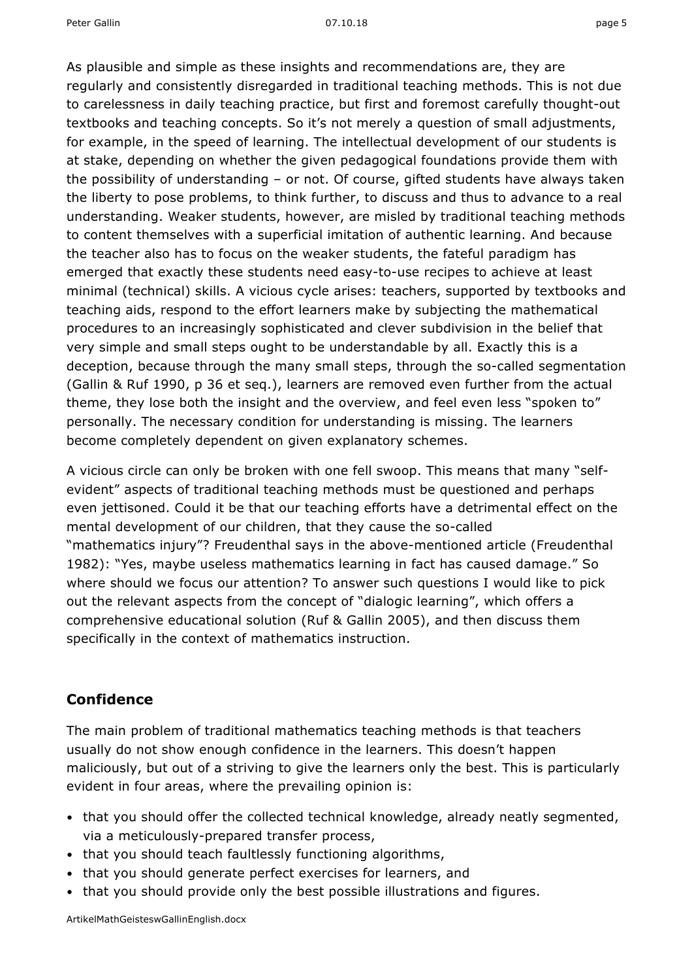As plausible and simple as these insights and recommendations are, they are regularly and consistently disregarded in traditional teaching methods. This is not due to carelessness in daily teaching practice, but first and foremost carefully thought-out textbooks and teaching concepts. So it's not merely a question of small adjustments, for example, in the speed of learning. The intellectual development of our students is at stake, depending on whether the given pedagogical foundations provide them with the possibility of understanding – or not. Of course, gifted students have always taken the liberty to pose problems, to think further, to discuss and thus to advance to a real understanding. Weaker students, however, are misled by traditional teaching methods to content themselves with a superficial imitation of authentic learning. And because the teacher also has to focus on the weaker students, the fateful paradigm has emerged that exactly these students need easy-to-use recipes to achieve at least minimal (technical) skills. A vicious cycle arises: teachers, supported by textbooks and teaching aids, respond to the effort learners make by subjecting the mathematical procedures to an increasingly sophisticated and clever subdivision in the belief that very simple and small steps ought to be understandable by all. Exactly this is a deception, because through the many small steps, through the so-called segmentation (Gallin & Ruf 1990, p 36 et seq.), learners are removed even further from the actual theme, they lose both the insight and the overview, and feel even less "spoken to" personally. The necessary condition for understanding is missing. The learners become completely dependent on given explanatory schemes.

A vicious circle can only be broken with one fell swoop. This means that many "selfevident" aspects of traditional teaching methods must be questioned and perhaps even jettisoned. Could it be that our teaching efforts have a detrimental effect on the mental development of our children, that they cause the so-called "mathematics injury"? Freudenthal says in the above-mentioned article (Freudenthal 1982): "Yes, maybe useless mathematics learning in fact has caused damage." So where should we focus our attention? To answer such questions I would like to pick out the relevant aspects from the concept of "dialogic learning", which offers a comprehensive educational solution (Ruf & Gallin 2005), and then discuss them specifically in the context of mathematics instruction.

#### **Confidence**

The main problem of traditional mathematics teaching methods is that teachers usually do not show enough confidence in the learners. This doesn't happen maliciously, but out of a striving to give the learners only the best. This is particularly evident in four areas, where the prevailing opinion is:

- that you should offer the collected technical knowledge, already neatly segmented, via a meticulously-prepared transfer process,
- that you should teach faultlessly functioning algorithms,
- that you should generate perfect exercises for learners, and
- that you should provide only the best possible illustrations and figures.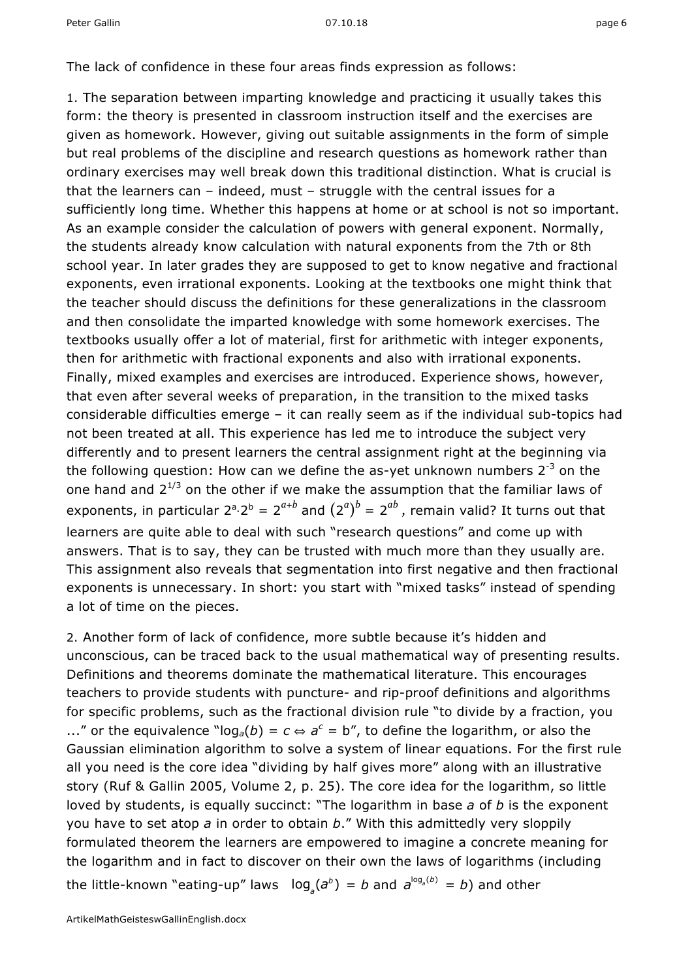The lack of confidence in these four areas finds expression as follows:

1. The separation between imparting knowledge and practicing it usually takes this form: the theory is presented in classroom instruction itself and the exercises are given as homework. However, giving out suitable assignments in the form of simple but real problems of the discipline and research questions as homework rather than ordinary exercises may well break down this traditional distinction. What is crucial is that the learners can – indeed, must – struggle with the central issues for a sufficiently long time. Whether this happens at home or at school is not so important. As an example consider the calculation of powers with general exponent. Normally, the students already know calculation with natural exponents from the 7th or 8th school year. In later grades they are supposed to get to know negative and fractional exponents, even irrational exponents. Looking at the textbooks one might think that the teacher should discuss the definitions for these generalizations in the classroom and then consolidate the imparted knowledge with some homework exercises. The textbooks usually offer a lot of material, first for arithmetic with integer exponents, then for arithmetic with fractional exponents and also with irrational exponents. Finally, mixed examples and exercises are introduced. Experience shows, however, that even after several weeks of preparation, in the transition to the mixed tasks considerable difficulties emerge – it can really seem as if the individual sub-topics had not been treated at all. This experience has led me to introduce the subject very differently and to present learners the central assignment right at the beginning via the following question: How can we define the as-yet unknown numbers  $2^{-3}$  on the one hand and  $2^{1/3}$  on the other if we make the assumption that the familiar laws of exponents, in particular  $2^{a} \cdot 2^{b} = 2^{a+b}$  and  $(2^{a})^{b} = 2^{ab}$ , remain valid? It turns out that learners are quite able to deal with such "research questions" and come up with answers. That is to say, they can be trusted with much more than they usually are. This assignment also reveals that segmentation into first negative and then fractional exponents is unnecessary. In short: you start with "mixed tasks" instead of spending a lot of time on the pieces.

2. Another form of lack of confidence, more subtle because it's hidden and unconscious, can be traced back to the usual mathematical way of presenting results. Definitions and theorems dominate the mathematical literature. This encourages teachers to provide students with puncture- and rip-proof definitions and algorithms for specific problems, such as the fractional division rule "to divide by a fraction, you ..." or the equivalence " $log_a(b) = c \Leftrightarrow a^c = b''$ , to define the logarithm, or also the Gaussian elimination algorithm to solve a system of linear equations. For the first rule all you need is the core idea "dividing by half gives more" along with an illustrative story (Ruf & Gallin 2005, Volume 2, p. 25). The core idea for the logarithm, so little loved by students, is equally succinct: "The logarithm in base *a* of *b* is the exponent you have to set atop *a* in order to obtain *b*." With this admittedly very sloppily formulated theorem the learners are empowered to imagine a concrete meaning for the logarithm and in fact to discover on their own the laws of logarithms (including the little-known "eating-up" laws  $log_a(a^b) = b$  and  $a^{\log_a(b)} = b$ ) and other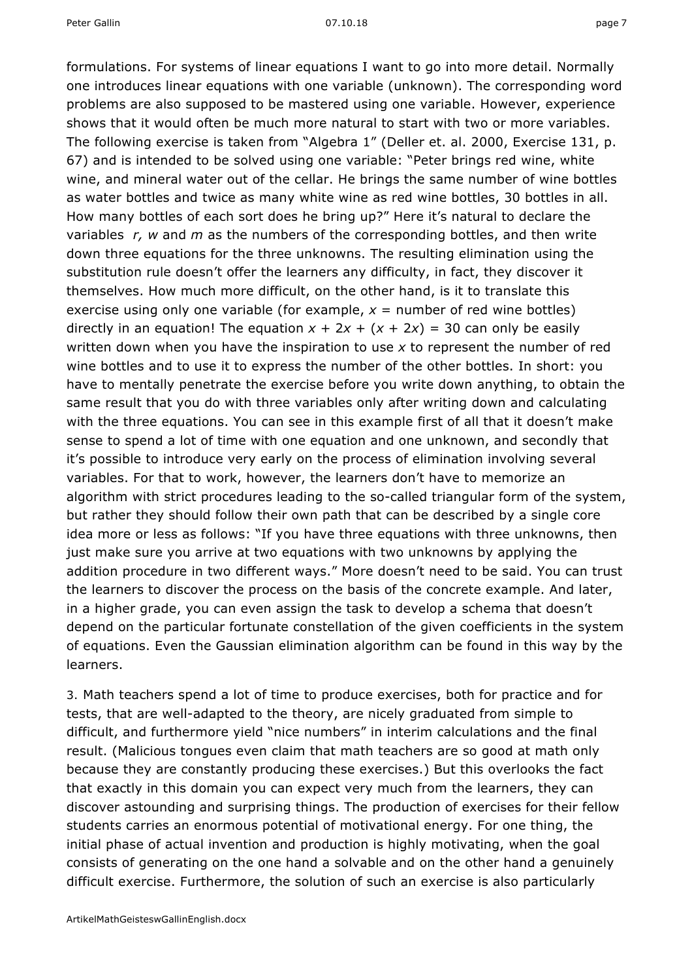Peter Gallin 07.10.18 page

formulations. For systems of linear equations I want to go into more detail. Normally one introduces linear equations with one variable (unknown). The corresponding word problems are also supposed to be mastered using one variable. However, experience shows that it would often be much more natural to start with two or more variables. The following exercise is taken from "Algebra 1" (Deller et. al. 2000, Exercise 131, p. 67) and is intended to be solved using one variable: "Peter brings red wine, white wine, and mineral water out of the cellar. He brings the same number of wine bottles as water bottles and twice as many white wine as red wine bottles, 30 bottles in all. How many bottles of each sort does he bring up?" Here it's natural to declare the variables *r, w* and *m* as the numbers of the corresponding bottles, and then write down three equations for the three unknowns. The resulting elimination using the substitution rule doesn't offer the learners any difficulty, in fact, they discover it themselves. How much more difficult, on the other hand, is it to translate this exercise using only one variable (for example,  $x =$  number of red wine bottles) directly in an equation! The equation  $x + 2x + (x + 2x) = 30$  can only be easily written down when you have the inspiration to use *x* to represent the number of red wine bottles and to use it to express the number of the other bottles. In short: you have to mentally penetrate the exercise before you write down anything, to obtain the same result that you do with three variables only after writing down and calculating with the three equations. You can see in this example first of all that it doesn't make sense to spend a lot of time with one equation and one unknown, and secondly that it's possible to introduce very early on the process of elimination involving several variables. For that to work, however, the learners don't have to memorize an algorithm with strict procedures leading to the so-called triangular form of the system, but rather they should follow their own path that can be described by a single core idea more or less as follows: "If you have three equations with three unknowns, then just make sure you arrive at two equations with two unknowns by applying the addition procedure in two different ways." More doesn't need to be said. You can trust the learners to discover the process on the basis of the concrete example. And later, in a higher grade, you can even assign the task to develop a schema that doesn't depend on the particular fortunate constellation of the given coefficients in the system of equations. Even the Gaussian elimination algorithm can be found in this way by the learners.

3. Math teachers spend a lot of time to produce exercises, both for practice and for tests, that are well-adapted to the theory, are nicely graduated from simple to difficult, and furthermore yield "nice numbers" in interim calculations and the final result. (Malicious tongues even claim that math teachers are so good at math only because they are constantly producing these exercises.) But this overlooks the fact that exactly in this domain you can expect very much from the learners, they can discover astounding and surprising things. The production of exercises for their fellow students carries an enormous potential of motivational energy. For one thing, the initial phase of actual invention and production is highly motivating, when the goal consists of generating on the one hand a solvable and on the other hand a genuinely difficult exercise. Furthermore, the solution of such an exercise is also particularly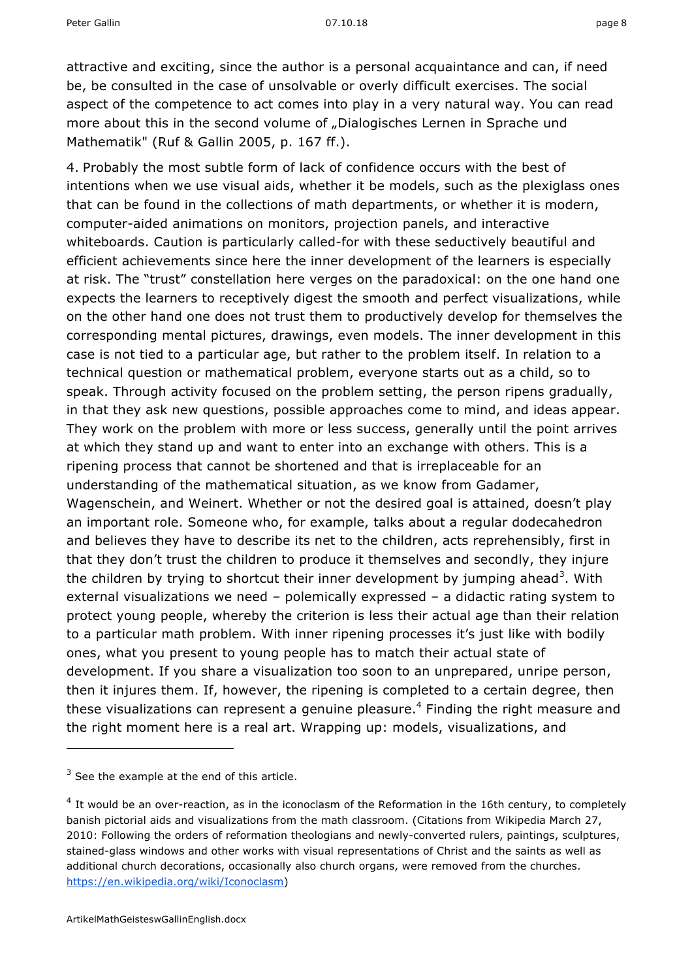attractive and exciting, since the author is a personal acquaintance and can, if need be, be consulted in the case of unsolvable or overly difficult exercises. The social aspect of the competence to act comes into play in a very natural way. You can read more about this in the second volume of "Dialogisches Lernen in Sprache und Mathematik" (Ruf & Gallin 2005, p. 167 ff.).

4. Probably the most subtle form of lack of confidence occurs with the best of intentions when we use visual aids, whether it be models, such as the plexiglass ones that can be found in the collections of math departments, or whether it is modern, computer-aided animations on monitors, projection panels, and interactive whiteboards. Caution is particularly called-for with these seductively beautiful and efficient achievements since here the inner development of the learners is especially at risk. The "trust" constellation here verges on the paradoxical: on the one hand one expects the learners to receptively digest the smooth and perfect visualizations, while on the other hand one does not trust them to productively develop for themselves the corresponding mental pictures, drawings, even models. The inner development in this case is not tied to a particular age, but rather to the problem itself. In relation to a technical question or mathematical problem, everyone starts out as a child, so to speak. Through activity focused on the problem setting, the person ripens gradually, in that they ask new questions, possible approaches come to mind, and ideas appear. They work on the problem with more or less success, generally until the point arrives at which they stand up and want to enter into an exchange with others. This is a ripening process that cannot be shortened and that is irreplaceable for an understanding of the mathematical situation, as we know from Gadamer, Wagenschein, and Weinert. Whether or not the desired goal is attained, doesn't play an important role. Someone who, for example, talks about a regular dodecahedron and believes they have to describe its net to the children, acts reprehensibly, first in that they don't trust the children to produce it themselves and secondly, they injure the children by trying to shortcut their inner development by jumping ahead<sup>3</sup>. With external visualizations we need – polemically expressed – a didactic rating system to protect young people, whereby the criterion is less their actual age than their relation to a particular math problem. With inner ripening processes it's just like with bodily ones, what you present to young people has to match their actual state of development. If you share a visualization too soon to an unprepared, unripe person, then it injures them. If, however, the ripening is completed to a certain degree, then these visualizations can represent a genuine pleasure.<sup>4</sup> Finding the right measure and the right moment here is a real art. Wrapping up: models, visualizations, and

-

 $3$  See the example at the end of this article.

 $4$  It would be an over-reaction, as in the iconoclasm of the Reformation in the 16th century, to completely banish pictorial aids and visualizations from the math classroom. (Citations from Wikipedia March 27, 2010: Following the orders of reformation theologians and newly-converted rulers, paintings, sculptures, stained-glass windows and other works with visual representations of Christ and the saints as well as additional church decorations, occasionally also church organs, were removed from the churches. https://en.wikipedia.org/wiki/Iconoclasm)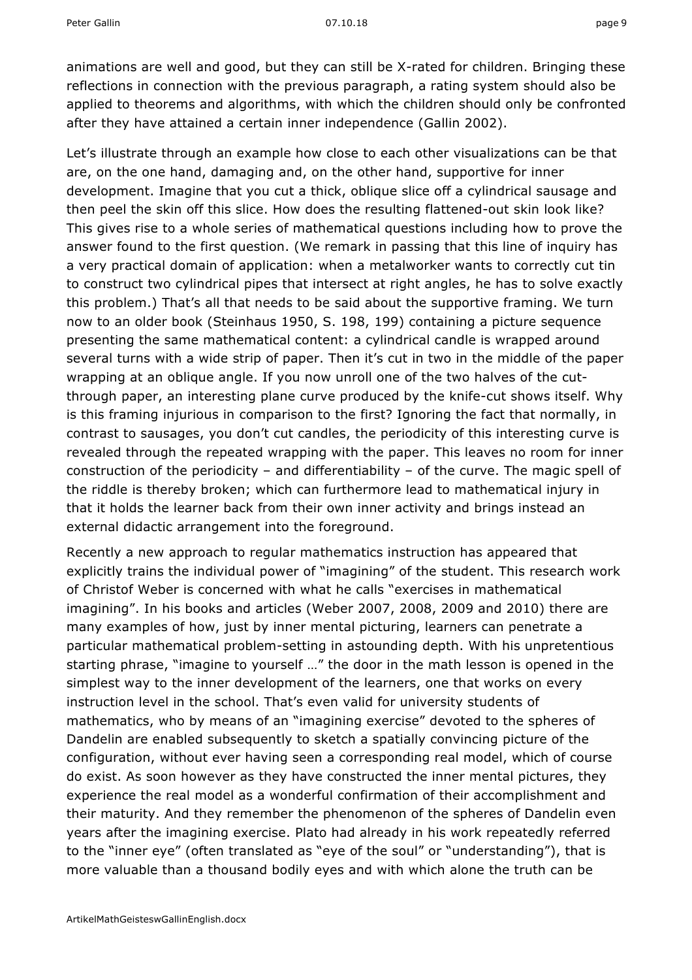animations are well and good, but they can still be X-rated for children. Bringing these reflections in connection with the previous paragraph, a rating system should also be applied to theorems and algorithms, with which the children should only be confronted after they have attained a certain inner independence (Gallin 2002).

Let's illustrate through an example how close to each other visualizations can be that are, on the one hand, damaging and, on the other hand, supportive for inner development. Imagine that you cut a thick, oblique slice off a cylindrical sausage and then peel the skin off this slice. How does the resulting flattened-out skin look like? This gives rise to a whole series of mathematical questions including how to prove the answer found to the first question. (We remark in passing that this line of inquiry has a very practical domain of application: when a metalworker wants to correctly cut tin to construct two cylindrical pipes that intersect at right angles, he has to solve exactly this problem.) That's all that needs to be said about the supportive framing. We turn now to an older book (Steinhaus 1950, S. 198, 199) containing a picture sequence presenting the same mathematical content: a cylindrical candle is wrapped around several turns with a wide strip of paper. Then it's cut in two in the middle of the paper wrapping at an oblique angle. If you now unroll one of the two halves of the cutthrough paper, an interesting plane curve produced by the knife-cut shows itself. Why is this framing injurious in comparison to the first? Ignoring the fact that normally, in contrast to sausages, you don't cut candles, the periodicity of this interesting curve is revealed through the repeated wrapping with the paper. This leaves no room for inner construction of the periodicity – and differentiability – of the curve. The magic spell of the riddle is thereby broken; which can furthermore lead to mathematical injury in that it holds the learner back from their own inner activity and brings instead an external didactic arrangement into the foreground.

Recently a new approach to regular mathematics instruction has appeared that explicitly trains the individual power of "imagining" of the student. This research work of Christof Weber is concerned with what he calls "exercises in mathematical imagining". In his books and articles (Weber 2007, 2008, 2009 and 2010) there are many examples of how, just by inner mental picturing, learners can penetrate a particular mathematical problem-setting in astounding depth. With his unpretentious starting phrase, "imagine to yourself …" the door in the math lesson is opened in the simplest way to the inner development of the learners, one that works on every instruction level in the school. That's even valid for university students of mathematics, who by means of an "imagining exercise" devoted to the spheres of Dandelin are enabled subsequently to sketch a spatially convincing picture of the configuration, without ever having seen a corresponding real model, which of course do exist. As soon however as they have constructed the inner mental pictures, they experience the real model as a wonderful confirmation of their accomplishment and their maturity. And they remember the phenomenon of the spheres of Dandelin even years after the imagining exercise. Plato had already in his work repeatedly referred to the "inner eye" (often translated as "eye of the soul" or "understanding"), that is more valuable than a thousand bodily eyes and with which alone the truth can be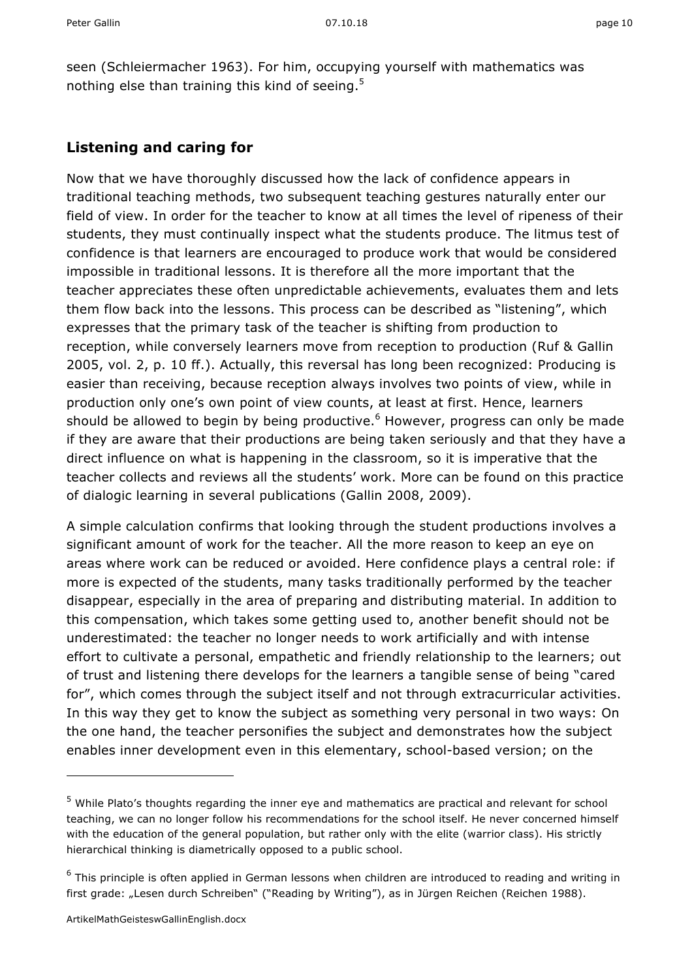seen (Schleiermacher 1963). For him, occupying yourself with mathematics was nothing else than training this kind of seeing.<sup>5</sup>

#### **Listening and caring for**

Now that we have thoroughly discussed how the lack of confidence appears in traditional teaching methods, two subsequent teaching gestures naturally enter our field of view. In order for the teacher to know at all times the level of ripeness of their students, they must continually inspect what the students produce. The litmus test of confidence is that learners are encouraged to produce work that would be considered impossible in traditional lessons. It is therefore all the more important that the teacher appreciates these often unpredictable achievements, evaluates them and lets them flow back into the lessons. This process can be described as "listening", which expresses that the primary task of the teacher is shifting from production to reception, while conversely learners move from reception to production (Ruf & Gallin 2005, vol. 2, p. 10 ff.). Actually, this reversal has long been recognized: Producing is easier than receiving, because reception always involves two points of view, while in production only one's own point of view counts, at least at first. Hence, learners should be allowed to begin by being productive. $6$  However, progress can only be made if they are aware that their productions are being taken seriously and that they have a direct influence on what is happening in the classroom, so it is imperative that the teacher collects and reviews all the students' work. More can be found on this practice of dialogic learning in several publications (Gallin 2008, 2009).

A simple calculation confirms that looking through the student productions involves a significant amount of work for the teacher. All the more reason to keep an eye on areas where work can be reduced or avoided. Here confidence plays a central role: if more is expected of the students, many tasks traditionally performed by the teacher disappear, especially in the area of preparing and distributing material. In addition to this compensation, which takes some getting used to, another benefit should not be underestimated: the teacher no longer needs to work artificially and with intense effort to cultivate a personal, empathetic and friendly relationship to the learners; out of trust and listening there develops for the learners a tangible sense of being "cared for", which comes through the subject itself and not through extracurricular activities. In this way they get to know the subject as something very personal in two ways: On the one hand, the teacher personifies the subject and demonstrates how the subject enables inner development even in this elementary, school-based version; on the

-

<sup>5</sup> While Plato's thoughts regarding the inner eye and mathematics are practical and relevant for school teaching, we can no longer follow his recommendations for the school itself. He never concerned himself with the education of the general population, but rather only with the elite (warrior class). His strictly hierarchical thinking is diametrically opposed to a public school.

<sup>&</sup>lt;sup>6</sup> This principle is often applied in German lessons when children are introduced to reading and writing in first grade: "Lesen durch Schreiben" ("Reading by Writing"), as in Jürgen Reichen (Reichen 1988).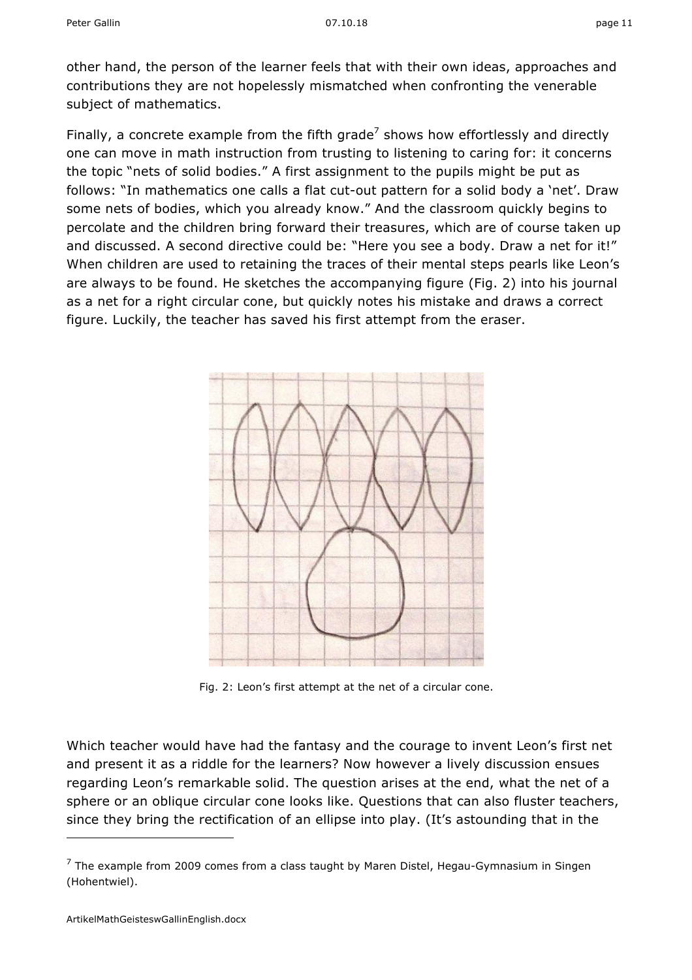other hand, the person of the learner feels that with their own ideas, approaches and contributions they are not hopelessly mismatched when confronting the venerable subject of mathematics.

Finally, a concrete example from the fifth grade<sup>7</sup> shows how effortlessly and directly one can move in math instruction from trusting to listening to caring for: it concerns the topic "nets of solid bodies." A first assignment to the pupils might be put as follows: "In mathematics one calls a flat cut-out pattern for a solid body a 'net'. Draw some nets of bodies, which you already know." And the classroom quickly begins to percolate and the children bring forward their treasures, which are of course taken up and discussed. A second directive could be: "Here you see a body. Draw a net for it!" When children are used to retaining the traces of their mental steps pearls like Leon's are always to be found. He sketches the accompanying figure (Fig. 2) into his journal as a net for a right circular cone, but quickly notes his mistake and draws a correct figure. Luckily, the teacher has saved his first attempt from the eraser.



Fig. 2: Leon's first attempt at the net of a circular cone.

Which teacher would have had the fantasy and the courage to invent Leon's first net and present it as a riddle for the learners? Now however a lively discussion ensues regarding Leon's remarkable solid. The question arises at the end, what the net of a sphere or an oblique circular cone looks like. Questions that can also fluster teachers, since they bring the rectification of an ellipse into play. (It's astounding that in the

 $7$  The example from 2009 comes from a class taught by Maren Distel, Hegau-Gymnasium in Singen (Hohentwiel).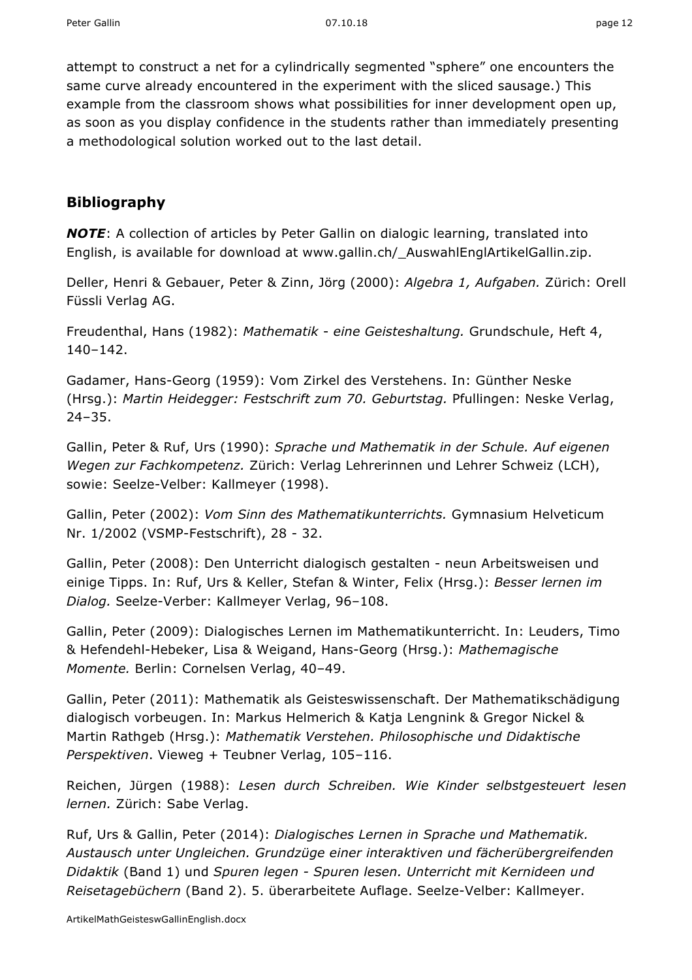attempt to construct a net for a cylindrically segmented "sphere" one encounters the same curve already encountered in the experiment with the sliced sausage.) This example from the classroom shows what possibilities for inner development open up, as soon as you display confidence in the students rather than immediately presenting a methodological solution worked out to the last detail.

#### **Bibliography**

*NOTE*: A collection of articles by Peter Gallin on dialogic learning, translated into English, is available for download at www.gallin.ch/\_AuswahlEnglArtikelGallin.zip.

Deller, Henri & Gebauer, Peter & Zinn, Jörg (2000): *Algebra 1, Aufgaben.* Zürich: Orell Füssli Verlag AG.

Freudenthal, Hans (1982): *Mathematik* - *eine Geisteshaltung.* Grundschule, Heft 4, 140–142.

Gadamer, Hans-Georg (1959): Vom Zirkel des Verstehens. In: Günther Neske (Hrsg.): *Martin Heidegger: Festschrift zum 70. Geburtstag.* Pfullingen: Neske Verlag, 24–35.

Gallin, Peter & Ruf, Urs (1990): *Sprache und Mathematik in der Schule. Auf eigenen Wegen zur Fachkompetenz.* Zürich: Verlag Lehrerinnen und Lehrer Schweiz (LCH), sowie: Seelze-Velber: Kallmeyer (1998).

Gallin, Peter (2002): *Vom Sinn des Mathematikunterrichts.* Gymnasium Helveticum Nr. 1/2002 (VSMP-Festschrift), 28 - 32.

Gallin, Peter (2008): Den Unterricht dialogisch gestalten - neun Arbeitsweisen und einige Tipps. In: Ruf, Urs & Keller, Stefan & Winter, Felix (Hrsg.): *Besser lernen im Dialog.* Seelze-Verber: Kallmeyer Verlag, 96–108.

Gallin, Peter (2009): Dialogisches Lernen im Mathematikunterricht. In: Leuders, Timo & Hefendehl-Hebeker, Lisa & Weigand, Hans-Georg (Hrsg.): *Mathemagische Momente.* Berlin: Cornelsen Verlag, 40–49.

Gallin, Peter (2011): Mathematik als Geisteswissenschaft. Der Mathematikschädigung dialogisch vorbeugen. In: Markus Helmerich & Katja Lengnink & Gregor Nickel & Martin Rathgeb (Hrsg.): *Mathematik Verstehen. Philosophische und Didaktische Perspektiven*. Vieweg + Teubner Verlag, 105–116.

Reichen, Jürgen (1988): *Lesen durch Schreiben. Wie Kinder selbstgesteuert lesen lernen.* Zürich: Sabe Verlag.

Ruf, Urs & Gallin, Peter (2014): *Dialogisches Lernen in Sprache und Mathematik. Austausch unter Ungleichen. Grundzüge einer interaktiven und fächerübergreifenden Didaktik* (Band 1) und *Spuren legen - Spuren lesen. Unterricht mit Kernideen und Reisetagebüchern* (Band 2). 5. überarbeitete Auflage. Seelze-Velber: Kallmeyer.